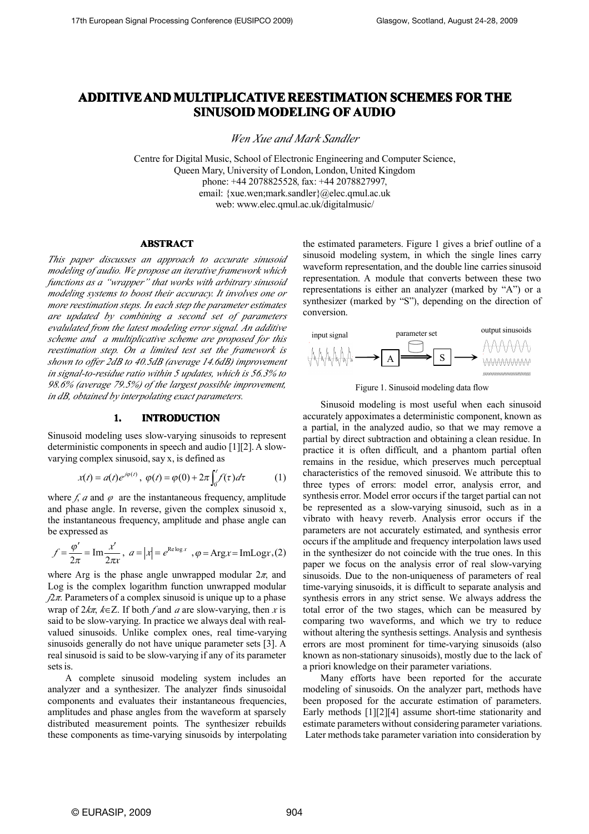# **ADDITIVE ADDITIVEAND MULTIPLICATIVE MULTIPLICATIVEMULTIPLICATIVEREESTIMATION REESTIMATION SCHEMES FOR THE**  $\mathbf S$ INUSOID MODELING OF AUDIO

*Wen Xue and Mark Sandler*

Centre for Digital Music, School of Electronic Engineering and Computer Science, Queen Mary, University of London, London, United Kingdom phone: +44 2078825528, fax: +44 2078827997, email: {xue.wen;mark.sandler}@elec.qmul.ac.uk web: www.elec.qmul.ac.uk/digitalmusic/

# **ABSTRACT ABSTRACT**

*This paper discusses an approach to accurate sinusoid modeling of audio. We propose an iterative framework which functions as <sup>a</sup> "wrapper" that works with arbitrary sinusoid modeling systems toboost their accuracy. It involves one or more reestimation steps. In each step the parameter estimates are updated by combining <sup>a</sup> second set of parameters evalulated fromthe latest modeling error signal. An additive scheme and <sup>a</sup> multiplicative scheme are proposed for this reestimation step. On <sup>a</sup> limited test set the framework is shown to offer 2dB to 40.5dB (average 14.6dB) improvement in signal-to-residue ratio within 5 updates, which is 56.3% to 98.6% (average 79.5%) of the largest possible improvement, in dB, obtained by interpolating exact parameters.*

# **1. INTRODUCTION INTRODUCTION**

Sinusoid modeling uses slow-varying sinusoids to represen<sup>t</sup> deterministic components in speech and audio  $[1][2]$ . A slowvarying complex sinusoid, say x, is defined as

$$
x(t) = a(t)e^{j\varphi(t)}, \ \varphi(t) = \varphi(0) + 2\pi \int_0^t f(\tau) d\tau \tag{1}
$$

where  $f$ , *a* and  $\varphi$  are the instantaneous frequency, amplitude and phase angle. In reverse, given the complex sinusoid x, the instantaneous frequency, amplitude and phase angle can be expressed as

$$
f = \frac{\varphi'}{2\pi} = \text{Im} \frac{x'}{2\pi x}, \ a = |x| = e^{\text{Re}\log x}, \ \varphi = \text{Arg} x = \text{Im} \text{Log} x, (2)
$$

where Arg is the phase angle unwrapped modular  $2\pi$ , and Log is the complex logarithm function unwrapped modular  $\sqrt{2\pi}$ . Parameters of a complex sinusoid is unique up to a phase wrap of 2*kπ*, *k*∈Z. If both *f* and *<sup>a</sup>* are slow-varying, then *<sup>x</sup>* is said to be slow-varying. In practice we always deal with real valued sinusoids. Unlike complex ones, real time-varying sinusoids generally do not have unique parameter sets [3]. A real sinusoid is said to be slow-varying if any of its parameter sets is.

A complete sinusoid modeling system includes an analyzer and <sup>a</sup> synthesizer. The analyzer finds sinusoidal components and evaluates their instantaneous frequencies, amplitudes and phase angles from the waveform at sparsely distributed measurement points. The synthesizer rebuilds these components as time-varying sinusoids by interpolating the estimated parameters. Figure 1 gives <sup>a</sup> brief outline of <sup>a</sup> sinusoid modeling system, in which the single lines carry waveform representation, and the double line carries sinusoid representation. A module that converts between these two representations is either an analyzer (marked by "A") or <sup>a</sup> synthesizer (marked by "S"), depending on the direction of conversion.





Sinusoid modeling is most useful when each sinusoid accurately appoximates <sup>a</sup> deterministic component, known as <sup>a</sup> partial, in the analyzed audio, so that wemay remove <sup>a</sup> partial by direct subtraction and obtaining <sup>a</sup> clean residue. In practice it is often difficult, and <sup>a</sup> phantom partial often remains in the residue, which preserves much perceptual characteristics of the removed sinusoid. We attribute this to three types of errors: model error, analysis error, and synthesis error. Model error occursif the target partial can not be represented as a slow-varying sinusoid, such as in a vibrato with heavy reverb. Analysis error occurs if the parameters are not accurately estimated, and synthesis error occurs if the amplitude and frequency interpolation laws used in the synthesizer do not coincide with the true ones. In this paper we focus on the analysis error of real slow-varying sinusoids. Due to the non-uniqueness of parameters of real time-varying sinusoids, it is difficult to separate analysis and synthesis errors in any strict sense. We always address the total error of the two stages, which can be measured by comparing two waveforms, and which we try to reduce without altering the synthesis settings. Analysis and synthesis errors are most prominent for time-varying sinusoids (also known as non-stationary sinusoids), mostly due to the lack of <sup>a</sup> priori knowledge on their parameter variations.

Many efforts have been reported for the accurate modeling of sinusoids. On the analyzer part, methods have been proposed for the accurate estimation of parameters. Early methods [1][2][4] assume short-time stationarity and estimate parameters without considering parameter variations. Later methods take parameter variation into consideration by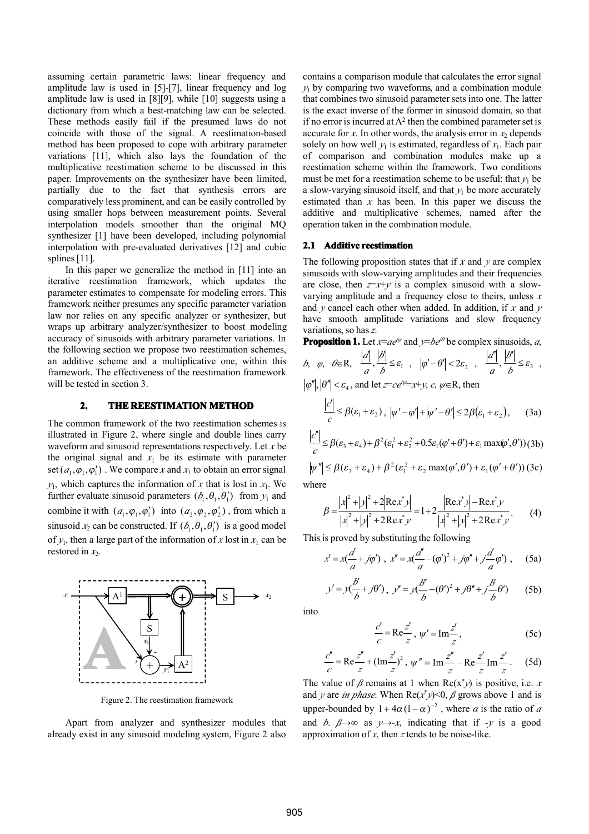assuming certain parametric laws: linear frequency and amplitude law is used in [5]-[7], linear frequency and log amplitude law is used in [8][9], while [10] suggests using <sup>a</sup> dictionary from which <sup>a</sup> best-matching law can be selected. These methods easily fail if the presumed laws do not coincide with those of the signal. A reestimation-based method has been proposed to cope with arbitrary parameter variations [11], which also lays the foundation of the multiplicative reestimation scheme to be discussed in this paper. Improvements on the synthesizer have been limited, partially due to the fact that synthesis errors are comparatively less prominent, and can be easily controlled by using smaller hops between measurement points. Several interpolation models smoother than the original MQ synthesizer [1] have been developed, including polynomial interpolation with pre-evaluated derivatives [12] and cubic splines [11].

In this paper we generalize the method in [11] into an iterative reestimation framework, which updates the parameter estimates to compensate for modeling errors. This framework neither presumes any specific parameter variation law nor relies on any specific analyzer or synthesizer, but wraps up arbitrary analyzer/synthesizer to boost modeling accuracy of sinusoids with arbitrary parameter variations. In the following section we propose two reestimation schemes, an additive scheme and <sup>a</sup> multiplicative one, within this framework. The effectiveness of the reestimation framework will be tested in section 3.

# **2. THE REESTIMATION METHOD**

The common framework of the two reestimation schemes is illustrated in Figure 2, where single and double lines carry *c* waveform and sinusoid representations respectively. Let *<sup>x</sup>* be the original signal and  $x_1$  be its estimate with parameter set  $(a_1, \varphi_1, \varphi'_1)$ . We compare *x* and  $x_1$  to obtain an error signal  $y_1$ , which captures the information of *x* that is lost in  $x_1$ . We further evaluate sinusoid parameters  $(b_1, \theta_1, \theta'_1)$  from  $y_1$  and combine it with  $(a_1, \varphi_1, \varphi_1')$  into  $(a_2, \varphi_2, \varphi_2')$ , from which a  $\beta =$ sinusoid  $x_2$  can be constructed. If  $(b_1, \theta_1, \theta'_1)$  is a good model of  $y_1$ , then a large part of the information of x lost in  $x_1$  can be restored in  $x_2$ .



Figure 2. The reestimation framework

Apart from analyzer and synthesizer modules that already exist in any sinusoid modeling system, Figure 2 also

contains <sup>a</sup> comparison module that calculates the error signal  $y_1$  by comparing two waveforms, and a combination module that combines two sinusoid parameter sets into one. The latter is the exact inverse of the former in sinusoid domain, so that not if no error is incurred at  $A^2$  then the combined parameter set is accurate for *x*. In other words, the analysis error in  $x_2$  depends solely on how well  $y_1$  is estimated, regardless of  $x_1$ . Each pair of comparison and combination modules make up <sup>a</sup> reestimation scheme within the framework. Two conditions must be met for a reestimation scheme to be useful: that  $y_1$  be a slow-varying sinusoid itself, and that  $y_1$  be more accurately estimated than  $x$  has been. In this paper we discuss the additive and multiplicative schemes, named after the operation taken in the combination module.

#### **2.1 Additive reestimation**

The following proposition states that if  $x$  and  $y$  are complex sinusoids with slow-varying amplitudes and their frequencies are close, then  $z=x+y$  is a complex sinusoid with a slowvarying amplitude and <sup>a</sup> frequency close to theirs, unless *<sup>x</sup>* and  $y$  cancel each other when added. In addition, if  $x$  and  $y$ have smooth amplitude variations and slow frequency variations, so has*<sup>z</sup>*.

**Proposition 1.** Let  $x=ae^{i\varphi}$  and  $y=be^{i\theta}$  be complex sinusoids, *a*,

b, 
$$
\varphi
$$
,  $\theta \in \mathbb{R}$ ,  $\frac{|d|}{a}$ ,  $\frac{|b|}{b} \le \varepsilon_1$ ,  $|\varphi' - \theta'| < 2\varepsilon_2$ ,  $\frac{|d''|}{a}$ ,  $\frac{|b''|}{b} \le \varepsilon_3$ ,

$$
|\varphi''|, |\theta''| < \varepsilon_4
$$
, and let  $z = ce^{i\psi} = x + y$ , c,  $\psi \in \mathbb{R}$ , then

$$
\frac{|c'|}{c} \leq \beta(\varepsilon_1 + \varepsilon_2), \ |\psi' - \varphi'| + |\psi' - \theta'| \leq 2\beta(\varepsilon_1 + \varepsilon_2), \qquad (3a)
$$

$$
\begin{array}{lll}\n\text{try} & |\mathcal{E}'| \le \beta(\varepsilon_3 + \varepsilon_4) + \beta^2(\varepsilon_1^2 + \varepsilon_2^2 + 0.5\varepsilon_1(\varphi' + \theta') + \varepsilon_1 \max(\varphi', \theta')) \text{ (3b)} \\
\text{ter}\n\end{array}
$$

or signal  $|\psi''| \leq \beta(\varepsilon_3 + \varepsilon_4) + \beta^2(\varepsilon_1^2 + \varepsilon_2 \max(\phi', \theta') + \varepsilon_1(\phi' + \theta'))$  (3c) where

$$
\beta = \frac{|x|^2 + |y|^2 + 2|\text{Re} x^* y|}{|x|^2 + |y|^2 + 2\text{Re} x^* y} = 1 + 2\frac{|\text{Re} x^* y| - \text{Re} x^* y}{|x|^2 + |y|^2 + 2\text{Re} x^* y}.
$$
 (4)

This is proved by substituting the following

$$
x' = x\left(\frac{d}{a} + j\varphi'\right), \ x'' = x\left(\frac{d'}{a} - (\varphi')^2 + j\varphi'' + j\frac{d'}{a}\varphi'\right), \quad (5a)
$$

$$
y' = y\left(\frac{b'}{b} + j\theta'\right), \ y'' = y\left(\frac{b''}{b} - (\theta')^2 + j\theta'' + j\frac{b'}{b}\theta'\right) \qquad (5b)
$$

into

$$
\frac{c'}{c} = \text{Re}\frac{z'}{z}, \ \psi' = \text{Im}\frac{z'}{z},\tag{5c}
$$

$$
\frac{c''}{c} = \text{Re}\frac{z''}{z} + (\text{Im}\frac{z'}{z})^2, \ \psi'' = \text{Im}\frac{z''}{z} - \text{Re}\frac{z'}{z} \text{Im}\frac{z'}{z}. \tag{5d}
$$

The value of  $\beta$  remains at 1 when  $\text{Re}(x^*y)$  is positive, i.e. *x* and *y* are *in phase*. When  $\text{Re}(x^*y) \le 0$ ,  $\beta$  grows above 1 and is upper-bounded by  $1 + 4\alpha (1 - \alpha)^{-2}$ , where  $\alpha$  is the ratio of  $\alpha$ and *b*.  $\beta \rightarrow \infty$  as  $y \rightarrow -x$ , indicating that if  $-y$  is a good approximation of  $x$ , then  $z$  tends to be noise-like.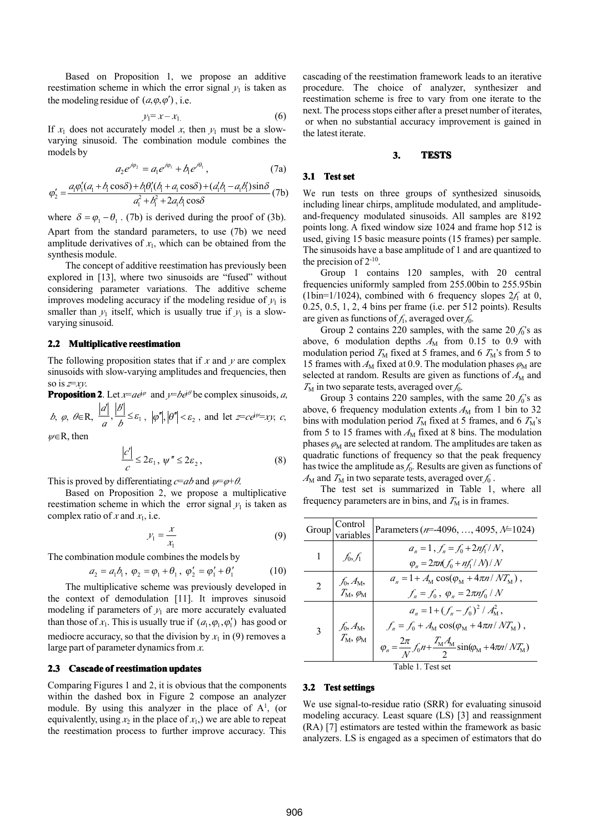Based on Proposition 1, we propose an additive reestimation scheme in which the error signal  $y_1$  is taken as the modeling residue of  $(a, \varphi, \varphi')$ , i.e.

$$
y_1 = x - x_1 \tag{6}
$$

If  $x_1$  does not accurately model x, then  $y_1$  must be a slowvarying sinusoid. The combination module combines the models by

$$
a_2 e^{j\varphi_2} = a_1 e^{j\varphi_1} + b_1 e^{j\theta_1}, \qquad (7a)
$$

$$
\varphi_2' = \frac{a_1 \varphi_1' (a_1 + b_1 \cos \delta) + b_1 \theta_1' (b_1 + a_1 \cos \delta) + (a_1 b_1 - a_1 b_1') \sin \delta}{a_1^2 + b_1^2 + 2a_1 b_1 \cos \delta} (7b)
$$

where  $\delta = \varphi_1 - \theta_1$ . (7b) is derived during the proof of (3b). Apart from the standard parameters, to use (7b) we need amplitude derivatives of  $x_1$ , which can be obtained from the synthesis module.

The concep<sup>t</sup> of additive reestimation has previously been explored in [13], where two sinusoids are "fused" without considering parameter variations. The additive scheme improves modeling accuracy if the modeling residue of  $y_1$  is smaller than  $y_1$  itself, which is usually true if  $y_1$  is a slowvarying sinusoid.

### **2.2 Multiplicative reestimation reestimation**

The following proposition states that if *<sup>x</sup>* and *y* are complex sinusoids with slow-varying amplitudes and frequencies, then so is *<sup>z</sup>*<sup>=</sup>*xy*.

**Proposition 2**. Let  $x=ae^{j\varphi}$  and  $y=be^{j\theta}$  be complex sinusoids, *a*, *b*,  $\varphi$ ,  $\theta \in \mathbb{R}$ ,  $\frac{1}{\epsilon_1}$ ,  $\frac{1}{\epsilon_2} \leq \varepsilon_1$ ,  $\left| \varphi'' \right|, \left| \theta'' \right| < \varepsilon_2$ , and let  $z = c e^{i\psi} = xy$ , c,  $\vert d \vert$   $\vert d \vert$  $\overline{a}$  *b b*  $|d|$   $|b|$  $\varphi, \ \theta \in \mathbb{R}, \ \frac{|\alpha|}{\lambda}, \frac{|\beta|}{\lambda} \leq \varepsilon_1, \ |\varphi''|, |\theta''| < \varepsilon_2$ 

*ψ*<sup>∈</sup>R, then

*a*

$$
\frac{|c'|}{c} \le 2\varepsilon_1, \ \psi'' \le 2\varepsilon_2 \,, \tag{8}
$$

This is proved by differentiating  $c = ab$  and  $\psi = \varphi + \theta$ .

Based on Proposition 2, we propose <sup>a</sup> multiplicative reestimation scheme in which the error signal  $y_1$  is taken as complex ratio of *x* and  $x_1$ , i.e.

$$
y_1 = \frac{x}{x_1} \tag{9}
$$

The combination module combines the models by

$$
a_2 = a_1 b_1, \ \varphi_2 = \varphi_1 + \theta_1, \ \varphi_2' = \varphi_1' + \theta_1'
$$
 (10)

The multiplicative scheme was previously developed in 2 the context of demodulation [11]. It improves sinusoid modeling if parameters of  $y_1$  are more accurately evaluated than those of  $x_1$ . This is usually true if  $(a_1, \varphi_1, \varphi_1')$  has good or mediocre accuracy, so that the division by  $x_1$  in (9) removes a large part of parameter dynamics from  $\boldsymbol{x}$ .

#### **2.3 Cascade Cascade Cascade of reestimation reestimation reestimationupdates updates updates**

Comparing Figures 1 and 2, it is obvious that the components within the dashed box in Figure 2 compose an analyzer module. By using this analyzer in the place of  $A<sup>1</sup>$ , (or equivalently, using  $x_2$  in the place of  $x_1$ ,) we are able to repeat the reestimation process to further improve accuracy. This cascading of the reestimation framework leads to an iterative procedure. The choice of analyzer, synthesizer and reestimation scheme is free to vary from one iterate to the next. The process stops either after a preset number of iterates, or when no substantial accuracy improvement isgained in the latest iterate.

#### **3. TESTS**

# **3.1 Test set**

We run tests on three groups of synthesized sinusoids, including linear chirps, amplitude modulated, and amplitudeand-frequency modulated sinusoids. All samples are 8192 points long. A fixed window size 1024 and frame hop 512 is used, giving 15 basic measure points (15 frames) per sample. The sinusoids have <sup>a</sup> base amplitude of 1 and are quantized to  $\epsilon_{\text{en}}$  the precision of 2<sup>-10</sup>.

> Group 1 contains 120 samples, with 20 central frequencies uniformly sampled from 255.00bin to 255.95bin (1bin= $1/1024$ ), combined with 6 frequency slopes  $2f_1$  at 0, 0.25, 0.5, 1, 2, 4 bins per frame (i.e. per 512 points). Results are given as functions of  $f_1$ , averaged over  $f_0$ .

> Group 2 contains 220 samples, with the same  $20 f_0$ 's as above, 6 modulation depths  $A_M$  from 0.15 to 0.9 with modulation period  $T_M$  fixed at 5 frames, and 6  $T_M$ 's from 5 to 15 frames with  $A_M$  fixed at 0.9. The modulation phases  $\varphi_M$  are selected at random. Results are given as functions of  $A_M$  and  $T_M$  in two separate tests, averaged over  $f_0$ .

> Group 3 contains 220 samples, with the same  $20 f_0$ 's as above, 6 frequency modulation extents  $A_M$  from 1 bin to 32 bins with modulation period  $T_M$  fixed at 5 frames, and 6  $T_M$ 's from 5 to 15 frames with  $A_M$  fixed at 8 bins. The modulation phases  $\varphi_M$  are selected at random. The amplitudes are taken as quadratic functions of frequency so that the peak frequency has twice the amplitude as  $f_0$ . Results are given as functions of  $A_M$  and  $T_M$  in two separate tests, averaged over  $f_0$ .

> The test set is summarized in Table 1, where all frequency parameters are in bins, and  $T<sub>M</sub>$  is in frames.

| (9)<br>(0)<br>in<br>pid<br>ted<br>or.<br>s a | Group             | Control<br>variables            | Parameters ( $n=4096, , 4095, \lambda=1024$ )                                                                                                                                                                |
|----------------------------------------------|-------------------|---------------------------------|--------------------------------------------------------------------------------------------------------------------------------------------------------------------------------------------------------------|
|                                              | 1                 | $f_0, f_1$                      | $a_n = 1, f_n = f_0 + 2nf_1/N$ ,<br>$\varphi_n = 2\pi n (f_0 + nf_1/N)/N$                                                                                                                                    |
|                                              | 2                 | $f_0, A_M,$<br>$T_M, \varphi_M$ | $a_n = 1 + A_M \cos(\varphi_M + 4\pi n / NT_M)$ ,<br>$f_n = f_0$ , $\varphi_n = 2\pi n f_0 / N$                                                                                                              |
|                                              | 3                 | $f_0, A_M,$<br>$T_M, \varphi_M$ | $a_n = 1 + (f_n - f_0)^2 / A_M^2$ ,<br>$f_n = f_0 + A_M \cos(\varphi_M + 4\pi n / NT_M)$ ,<br>$\varphi_n = \frac{2\pi}{N} f_0 n + \frac{T_{\rm M} A_{\rm M}}{2} \sin(\varphi_{\rm M} + 4\pi n / NT_{\rm M})$ |
|                                              | Table 1. Test set |                                 |                                                                                                                                                                                                              |

# **3.2 Test settings settings**

We use signal-to-residue ratio (SRR) for evaluating sinusoid modeling accuracy. Least square (LS) [3] and reassignment (RA) [7] estimators are tested within the framework as basic analyzers. LS is engaged as <sup>a</sup> specimen of estimators that do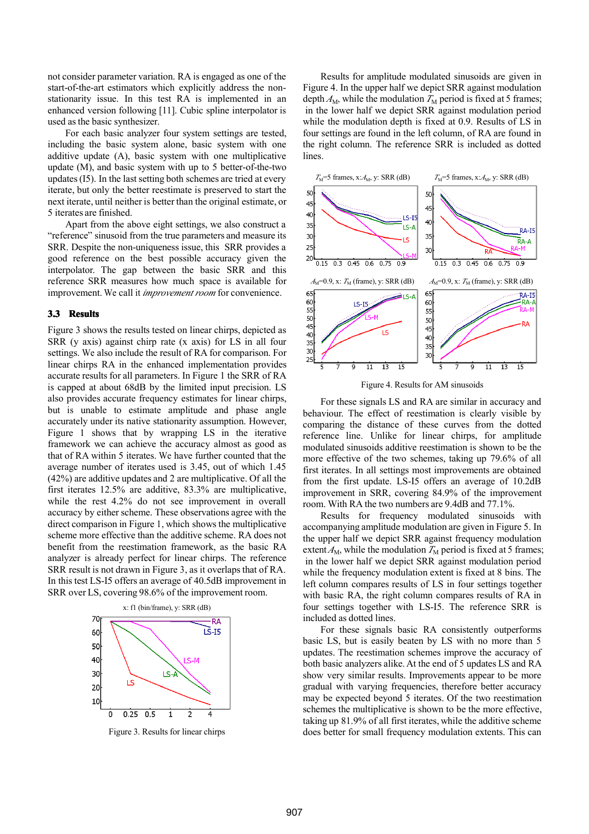not consider parameter variation. RA is engaged as one of the start-of-the-art estimators which explicitly address the nonstationarity issue. In this test RA is implemented in an enhanced version following [11]. Cubic spline interpolator is used asthe basic synthesizer.

For each basic analyzer four system settings are tested, including the basic system alone, basic system with one additive update (A), basic system with one multiplicative update (M), and basic system with up to 5 better-of-the-two updates (I5). In the last setting both schemes are tried at every iterate, but only the better reestimate is preserved to start the next iterate, until neither is better than the original estimate, or 5 iterates are finished.

Apart from the above eight settings, we also construct <sup>a</sup> "reference" sinusoid from the true parameters and measure its SRR. Despite the non-uniqueness issue, this SRR provides <sup>a</sup> good reference on the best possible accuracy given the interpolator. The gap between the basic SRR and this reference SRR measures how much space is available for improvement. We call it *improvement room* for convenience.

### **3.3 Results Results**

Figure 3 shows the results tested on linear chirps, depicted as SRR (y axis) against chirp rate (x axis) for LS in all four settings. We also include the result of RA for comparison. For linear chirps RA in the enhanced implementation provides accurate results for all parameters. In Figure 1 the SRR of RA is capped at about 68dB by the limited input precision. LS also provides accurate frequency estimates for linear chirps, but is unable to estimate amplitude and phase angle accurately under its native stationarity assumption. However, Figure 1 shows that by wrapping LS in the iterative framework we can achieve the accuracy almost as good as that of RA within 5 iterates. We have further counted that the average number of iterates used is 3.45, out of which 1.45 (42%) are additive updates and 2 are multiplicative. Of all the first iterates 12.5% are additive, 83.3% are multiplicative, while the rest 4.2% do not see improvement in overall accuracy by either scheme. These observations agree with the direct comparison in Figure 1, which shows the multiplicative scheme more effective than the additive scheme. RA does not benefit from the reestimation framework, as the basic RA analyzer is already perfect for linear chirps. The reference SRR result is not drawn in Figure 3, as it overlaps that of RA. In this test LS-I5 offers an average of 40.5dB improvement in SRR over LS, covering 98.6% of the improvement room.



Figure 3. Results for linear chirps

Results for amplitude modulated sinusoids are given in Figure 4. In the upper half we depict SRR against modulation depth  $A_M$ , while the modulation  $T_M$  period is fixed at 5 frames; in the lower half we depict SRR against modulation period while the modulation depth is fixed at 0.9. Results of LS in four settings are found in the left column, of RA are found in the right column. The reference SRR is included as dotted lines.



Figure 4. Results for AM sinusoids

For these signals LS and RA are similar in accuracy and behaviour. The effect of reestimation is clearly visible by comparing the distance of these curves from the dotted reference line. Unlike for linear chirps, for amplitude modulated sinusoids additive reestimation is shown to be the more effective of the two schemes, taking up 79.6% of all first iterates. In all settings most improvements are obtained from the first update. LS-I5 offers an average of 10.2dB improvement in SRR, covering 84.9% of the improvement room. With RA the two numbers are 9.4dB and 77.1%.

Results for frequency modulated sinusoids with accompanying amplitude modulation are given in Figure 5. In the upper half we depict SRR against frequency modulation extent  $A_M$ , while the modulation  $T_M$  period is fixed at 5 frames; in the lower half we depict SRR against modulation period while the frequency modulation extent is fixed at 8 bins. The left column compares results of LS in four settings together with basic RA, the right column compares results of RA in four settings together with LS-I5. The reference SRR is included as dotted lines.

For these signals basic RA consistently outperforms basic LS, but is easily beaten by LS with no more than 5 updates. The reestimation schemes improve the accuracy of both basic analyzers alike.At the end of 5 updates LS and RA show very similar results. Improvements appear to be more gradual with varying frequencies, therefore better accuracy may be expected beyond 5 iterates. Of the two reestimation schemes the multiplicative is shown to be the more effective, taking up 81.9% of all first iterates, while the additive scheme does better for small frequency modulation extents. This can